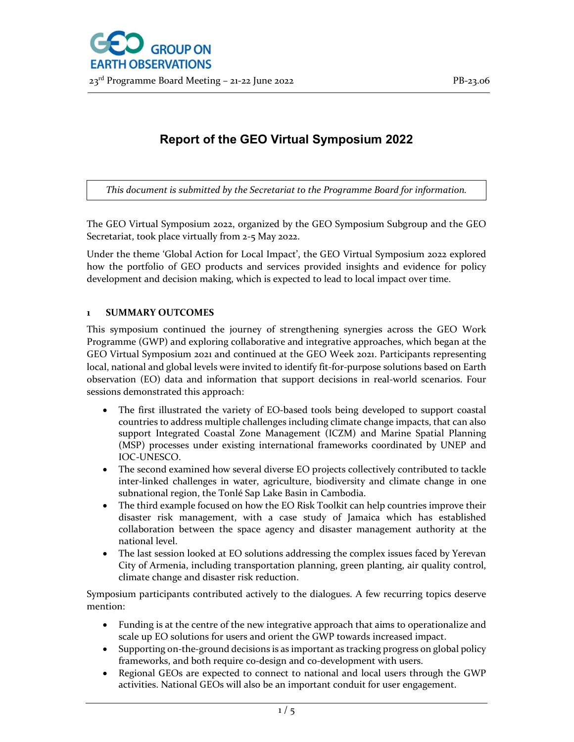# Report of the GEO Virtual Symposium 2022

This document is submitted by the Secretariat to the Programme Board for information.

The GEO Virtual Symposium 2022, organized by the GEO Symposium Subgroup and the GEO Secretariat, took place virtually from 2-5 May 2022.

Under the theme 'Global Action for Local Impact', the GEO Virtual Symposium 2022 explored how the portfolio of GEO products and services provided insights and evidence for policy development and decision making, which is expected to lead to local impact over time.

# 1 SUMMARY OUTCOMES

This symposium continued the journey of strengthening synergies across the GEO Work Programme (GWP) and exploring collaborative and integrative approaches, which began at the GEO Virtual Symposium 2021 and continued at the GEO Week 2021. Participants representing local, national and global levels were invited to identify fit-for-purpose solutions based on Earth observation (EO) data and information that support decisions in real-world scenarios. Four sessions demonstrated this approach:

- The first illustrated the variety of EO-based tools being developed to support coastal countries to address multiple challenges including climate change impacts, that can also support Integrated Coastal Zone Management (ICZM) and Marine Spatial Planning (MSP) processes under existing international frameworks coordinated by UNEP and IOC-UNESCO.
- The second examined how several diverse EO projects collectively contributed to tackle inter-linked challenges in water, agriculture, biodiversity and climate change in one subnational region, the Tonlé Sap Lake Basin in Cambodia.
- The third example focused on how the EO Risk Toolkit can help countries improve their disaster risk management, with a case study of Jamaica which has established collaboration between the space agency and disaster management authority at the national level.
- The last session looked at EO solutions addressing the complex issues faced by Yerevan City of Armenia, including transportation planning, green planting, air quality control, climate change and disaster risk reduction.

Symposium participants contributed actively to the dialogues. A few recurring topics deserve mention:

- Funding is at the centre of the new integrative approach that aims to operationalize and scale up EO solutions for users and orient the GWP towards increased impact.
- Supporting on-the-ground decisions is as important as tracking progress on global policy frameworks, and both require co-design and co-development with users.
- Regional GEOs are expected to connect to national and local users through the GWP activities. National GEOs will also be an important conduit for user engagement.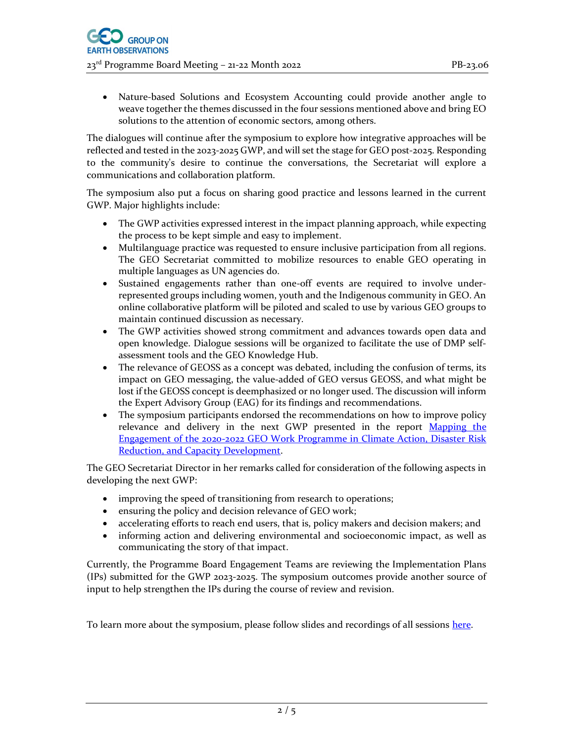Nature-based Solutions and Ecosystem Accounting could provide another angle to weave together the themes discussed in the four sessions mentioned above and bring EO solutions to the attention of economic sectors, among others.

The dialogues will continue after the symposium to explore how integrative approaches will be reflected and tested in the 2023-2025 GWP, and will set the stage for GEO post-2025. Responding to the community's desire to continue the conversations, the Secretariat will explore a communications and collaboration platform.

The symposium also put a focus on sharing good practice and lessons learned in the current GWP. Major highlights include:

- The GWP activities expressed interest in the impact planning approach, while expecting the process to be kept simple and easy to implement.
- Multilanguage practice was requested to ensure inclusive participation from all regions. The GEO Secretariat committed to mobilize resources to enable GEO operating in multiple languages as UN agencies do.
- Sustained engagements rather than one-off events are required to involve underrepresented groups including women, youth and the Indigenous community in GEO. An online collaborative platform will be piloted and scaled to use by various GEO groups to maintain continued discussion as necessary.
- The GWP activities showed strong commitment and advances towards open data and open knowledge. Dialogue sessions will be organized to facilitate the use of DMP selfassessment tools and the GEO Knowledge Hub.
- The relevance of GEOSS as a concept was debated, including the confusion of terms, its impact on GEO messaging, the value-added of GEO versus GEOSS, and what might be lost if the GEOSS concept is deemphasized or no longer used. The discussion will inform the Expert Advisory Group (EAG) for its findings and recommendations.
- The symposium participants endorsed the recommendations on how to improve policy relevance and delivery in the next GWP presented in the report Mapping the Engagement of the 2020-2022 GEO Work Programme in Climate Action, Disaster Risk Reduction, and Capacity Development.

The GEO Secretariat Director in her remarks called for consideration of the following aspects in developing the next GWP:

- improving the speed of transitioning from research to operations;
- ensuring the policy and decision relevance of GEO work;
- accelerating efforts to reach end users, that is, policy makers and decision makers; and
- informing action and delivering environmental and socioeconomic impact, as well as communicating the story of that impact.

Currently, the Programme Board Engagement Teams are reviewing the Implementation Plans (IPs) submitted for the GWP 2023-2025. The symposium outcomes provide another source of input to help strengthen the IPs during the course of review and revision.

To learn more about the symposium, please follow slides and recordings of all sessions here.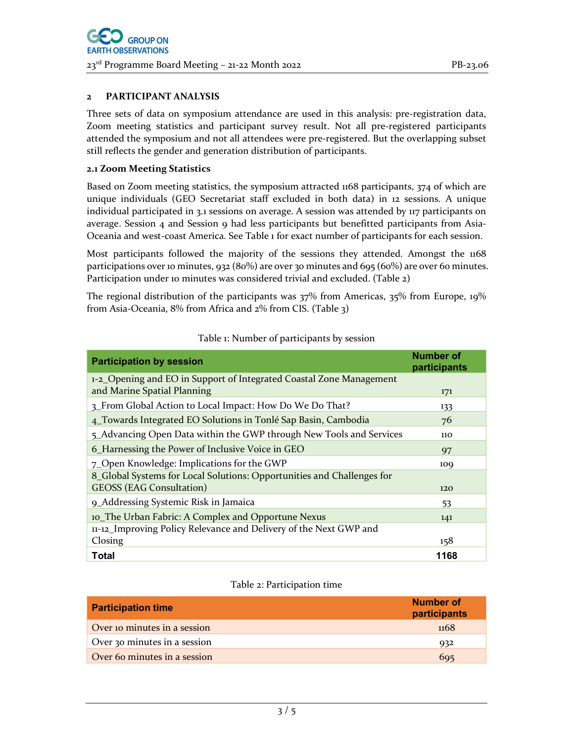### 2 PARTICIPANT ANALYSIS

Three sets of data on symposium attendance are used in this analysis: pre-registration data, Zoom meeting statistics and participant survey result. Not all pre-registered participants attended the symposium and not all attendees were pre-registered. But the overlapping subset still reflects the gender and generation distribution of participants.

### 2.1 Zoom Meeting Statistics

Based on Zoom meeting statistics, the symposium attracted 1168 participants, 374 of which are unique individuals (GEO Secretariat staff excluded in both data) in 12 sessions. A unique individual participated in 3.1 sessions on average. A session was attended by 117 participants on average. Session  $\alpha$  and Session  $\alpha$  had less participants but benefitted participants from Asia-Oceania and west-coast America. See Table 1 for exact number of participants for each session.

Most participants followed the majority of the sessions they attended. Amongst the 1168 participations over 10 minutes, 932 (80%) are over 30 minutes and 695 (60%) are over 60 minutes. Participation under 10 minutes was considered trivial and excluded. (Table 2)

The regional distribution of the participants was 37% from Americas, 35% from Europe, 19% from Asia-Oceania, 8% from Africa and 2% from CIS. (Table 3)

| <b>Participation by session</b>                                        | <b>Number of</b><br>participants |
|------------------------------------------------------------------------|----------------------------------|
| 1-2_Opening and EO in Support of Integrated Coastal Zone Management    |                                  |
| and Marine Spatial Planning                                            | 171                              |
| 3_From Global Action to Local Impact: How Do We Do That?               | 133                              |
| 4_Towards Integrated EO Solutions in Tonlé Sap Basin, Cambodia         | 76                               |
| 5_Advancing Open Data within the GWP through New Tools and Services    | 110                              |
| 6_Harnessing the Power of Inclusive Voice in GEO                       | 97                               |
| 7_Open Knowledge: Implications for the GWP                             | 109                              |
| 8_Global Systems for Local Solutions: Opportunities and Challenges for |                                  |
| <b>GEOSS (EAG Consultation)</b>                                        | 120                              |
| 9_Addressing Systemic Risk in Jamaica                                  | 53                               |
| 10_The Urban Fabric: A Complex and Opportune Nexus                     | 141                              |
| 11-12_Improving Policy Relevance and Delivery of the Next GWP and      |                                  |
| Closing                                                                | 158                              |
| Total                                                                  | 1168                             |

#### Table 1: Number of participants by session

#### Table 2: Participation time

| <b>Participation time</b>    | Number of<br>participants |
|------------------------------|---------------------------|
| Over 10 minutes in a session | <sup>1168</sup>           |
| Over 30 minutes in a session | 932                       |
| Over 60 minutes in a session | 695                       |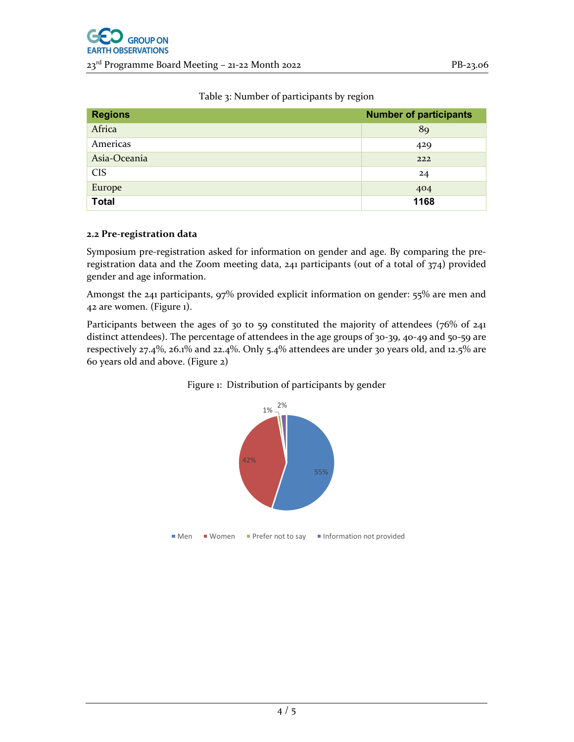| <b>Regions</b> | <b>Number of participants</b> |
|----------------|-------------------------------|
| Africa         | 89                            |
| Americas       | 429                           |
| Asia-Oceania   | 222                           |
| <b>CIS</b>     | 24                            |
| Europe         | 404                           |
| <b>Total</b>   | 1168                          |

Table 3: Number of participants by region

## 2.2 Pre-registration data

Symposium pre-registration asked for information on gender and age. By comparing the preregistration data and the Zoom meeting data, 241 participants (out of a total of 374) provided gender and age information.

Amongst the 241 participants, 97% provided explicit information on gender: 55% are men and 42 are women. (Figure 1).

Participants between the ages of 30 to 59 constituted the majority of attendees (76% of 241 distinct attendees). The percentage of attendees in the age groups of 30-39, 40-49 and 50-59 are respectively 27.4%, 26.1% and 22.4%. Only 5.4% attendees are under 30 years old, and 12.5% are 60 years old and above. (Figure 2)